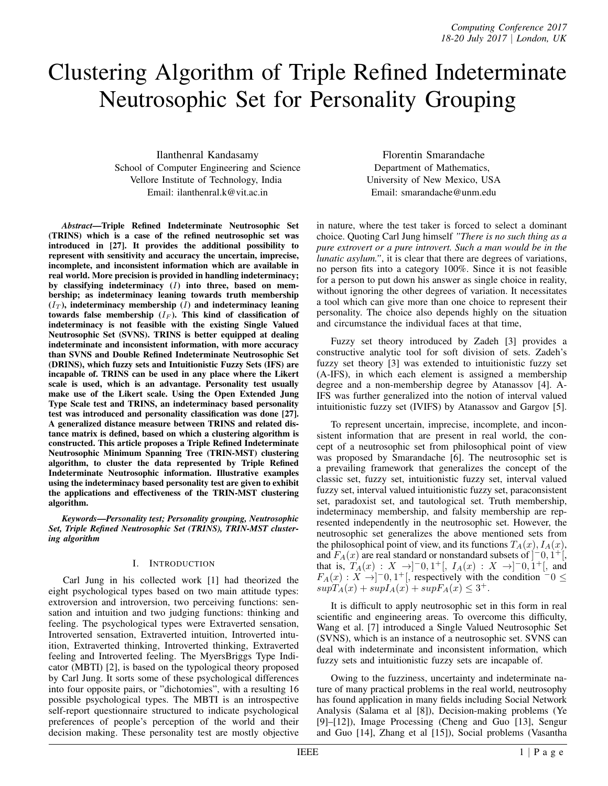# Clustering Algorithm of Triple Refined Indeterminate Neutrosophic Set for Personality Grouping

Ilanthenral Kandasamy School of Computer Engineering and Science Vellore Institute of Technology, India Email: ilanthenral.k@vit.ac.in

*Abstract*—Triple Refined Indeterminate Neutrosophic Set (TRINS) which is a case of the refined neutrosophic set was introduced in [27]. It provides the additional possibility to represent with sensitivity and accuracy the uncertain, imprecise, incomplete, and inconsistent information which are available in real world. More precision is provided in handling indeterminacy; by classifying indeterminacy (*I*) into three, based on membership; as indeterminacy leaning towards truth membership  $(I_T)$ , indeterminacy membership  $(I)$  and indeterminacy leaning towards false membership  $(I_F)$ . This kind of classification of indeterminacy is not feasible with the existing Single Valued Neutrosophic Set (SVNS). TRINS is better equipped at dealing indeterminate and inconsistent information, with more accuracy than SVNS and Double Refined Indeterminate Neutrosophic Set (DRINS), which fuzzy sets and Intuitionistic Fuzzy Sets (IFS) are incapable of. TRINS can be used in any place where the Likert scale is used, which is an advantage. Personality test usually make use of the Likert scale. Using the Open Extended Jung Type Scale test and TRINS, an indeterminacy based personality test was introduced and personality classification was done [27]. A generalized distance measure between TRINS and related distance matrix is defined, based on which a clustering algorithm is constructed. This article proposes a Triple Refined Indeterminate Neutrosophic Minimum Spanning Tree (TRIN-MST) clustering algorithm, to cluster the data represented by Triple Refined Indeterminate Neutrosophic information. Illustrative examples using the indeterminacy based personality test are given to exhibit the applications and effectiveness of the TRIN-MST clustering algorithm.

*Keywords*—*Personality test; Personality grouping, Neutrosophic Set, Triple Refined Neutrosophic Set (TRINS), TRIN-MST clustering algorithm*

# I. INTRODUCTION

Carl Jung in his collected work [1] had theorized the eight psychological types based on two main attitude types: extroversion and introversion, two perceiving functions: sensation and intuition and two judging functions: thinking and feeling. The psychological types were Extraverted sensation, Introverted sensation, Extraverted intuition, Introverted intuition, Extraverted thinking, Introverted thinking, Extraverted feeling and Introverted feeling. The MyersBriggs Type Indicator (MBTI) [2], is based on the typological theory proposed by Carl Jung. It sorts some of these psychological differences into four opposite pairs, or "dichotomies", with a resulting 16 possible psychological types. The MBTI is an introspective self-report questionnaire structured to indicate psychological preferences of people's perception of the world and their decision making. These personality test are mostly objective

Florentin Smarandache Department of Mathematics, University of New Mexico, USA Email: smarandache@unm.edu

in nature, where the test taker is forced to select a dominant choice. Quoting Carl Jung himself *"There is no such thing as a pure extrovert or a pure introvert. Such a man would be in the lunatic asylum.*", it is clear that there are degrees of variations, no person fits into a category 100%. Since it is not feasible for a person to put down his answer as single choice in reality, without ignoring the other degrees of variation. It necessitates a tool which can give more than one choice to represent their personality. The choice also depends highly on the situation and circumstance the individual faces at that time,

Fuzzy set theory introduced by Zadeh [3] provides a constructive analytic tool for soft division of sets. Zadeh's fuzzy set theory [3] was extended to intuitionistic fuzzy set (A-IFS), in which each element is assigned a membership degree and a non-membership degree by Atanassov [4]. A-IFS was further generalized into the notion of interval valued intuitionistic fuzzy set (IVIFS) by Atanassov and Gargov [5].

To represent uncertain, imprecise, incomplete, and inconsistent information that are present in real world, the concept of a neutrosophic set from philosophical point of view was proposed by Smarandache [6]. The neutrosophic set is a prevailing framework that generalizes the concept of the classic set, fuzzy set, intuitionistic fuzzy set, interval valued fuzzy set, interval valued intuitionistic fuzzy set, paraconsistent set, paradoxist set, and tautological set. Truth membership, indeterminacy membership, and falsity membership are represented independently in the neutrosophic set. However, the neutrosophic set generalizes the above mentioned sets from the philosophical point of view, and its functions  $T_A(x)$ ,  $I_A(x)$ , and  $F_A(x)$  are real standard or nonstandard subsets of  $\left]$ <sup>-</sup>0,  $1^+$ [, that is,  $T_A(x) : X \rightarrow ]-0,1^+[, I_A(x) : X \rightarrow ]-0,1^+[,$  and  $F_A(x) : X \rightarrow ]-0, 1^+[$ , respectively with the condition  $-0 \le$  $supT_A(x) + supI_A(x) + supF_A(x) \leq 3^+$ .

It is difficult to apply neutrosophic set in this form in real scientific and engineering areas. To overcome this difficulty, Wang et al. [7] introduced a Single Valued Neutrosophic Set (SVNS), which is an instance of a neutrosophic set. SVNS can deal with indeterminate and inconsistent information, which fuzzy sets and intuitionistic fuzzy sets are incapable of.

Owing to the fuzziness, uncertainty and indeterminate nature of many practical problems in the real world, neutrosophy has found application in many fields including Social Network Analysis (Salama et al [8]), Decision-making problems (Ye [9]–[12]), Image Processing (Cheng and Guo [13], Sengur and Guo [14], Zhang et al [15]), Social problems (Vasantha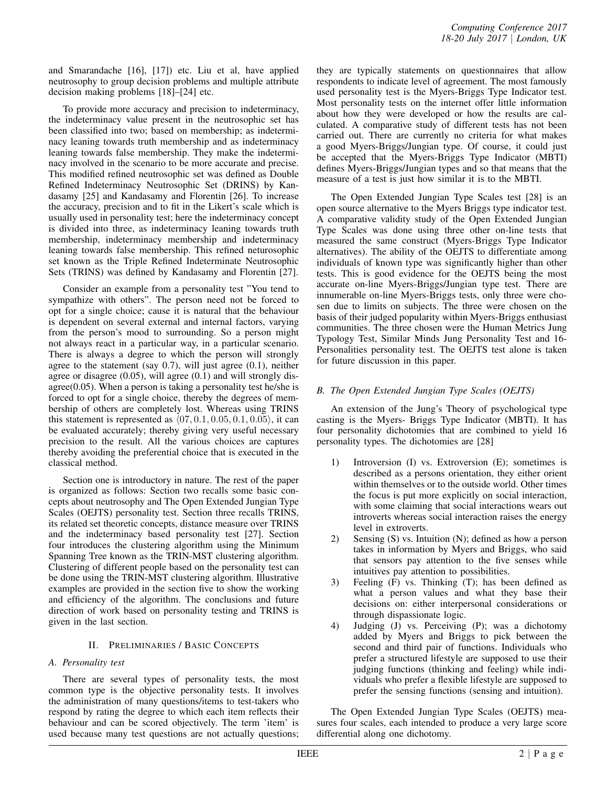and Smarandache [16], [17]) etc. Liu et al, have applied neutrosophy to group decision problems and multiple attribute decision making problems [18]–[24] etc.

To provide more accuracy and precision to indeterminacy, the indeterminacy value present in the neutrosophic set has been classified into two; based on membership; as indeterminacy leaning towards truth membership and as indeterminacy leaning towards false membership. They make the indeterminacy involved in the scenario to be more accurate and precise. This modified refined neutrosophic set was defined as Double Refined Indeterminacy Neutrosophic Set (DRINS) by Kandasamy [25] and Kandasamy and Florentin [26]. To increase the accuracy, precision and to fit in the Likert's scale which is usually used in personality test; here the indeterminacy concept is divided into three, as indeterminacy leaning towards truth membership, indeterminacy membership and indeterminacy leaning towards false membership. This refined neturosophic set known as the Triple Refined Indeterminate Neutrosophic Sets (TRINS) was defined by Kandasamy and Florentin [27].

Consider an example from a personality test "You tend to sympathize with others". The person need not be forced to opt for a single choice; cause it is natural that the behaviour is dependent on several external and internal factors, varying from the person's mood to surrounding. So a person might not always react in a particular way, in a particular scenario. There is always a degree to which the person will strongly agree to the statement (say 0.7), will just agree (0.1), neither agree or disagree (0.05), will agree (0.1) and will strongly disagree $(0.05)$ . When a person is taking a personality test he/she is forced to opt for a single choice, thereby the degrees of membership of others are completely lost. Whereas using TRINS this statement is represented as *⟨*07*,* 0*.*1*,* 0*.*05*,* 0*.*1*,* 0*.*05*⟩*, it can be evaluated accurately; thereby giving very useful necessary precision to the result. All the various choices are captures thereby avoiding the preferential choice that is executed in the classical method.

Section one is introductory in nature. The rest of the paper is organized as follows: Section two recalls some basic concepts about neutrosophy and The Open Extended Jungian Type Scales (OEJTS) personality test. Section three recalls TRINS, its related set theoretic concepts, distance measure over TRINS and the indeterminacy based personality test [27]. Section four introduces the clustering algorithm using the Minimum Spanning Tree known as the TRIN-MST clustering algorithm. Clustering of different people based on the personality test can be done using the TRIN-MST clustering algorithm. Illustrative examples are provided in the section five to show the working and efficiency of the algorithm. The conclusions and future direction of work based on personality testing and TRINS is given in the last section.

# II. PRELIMINARIES / BASIC CONCEPTS

# *A. Personality test*

There are several types of personality tests, the most common type is the objective personality tests. It involves the administration of many questions/items to test-takers who respond by rating the degree to which each item reflects their behaviour and can be scored objectively. The term 'item' is used because many test questions are not actually questions; they are typically statements on questionnaires that allow respondents to indicate level of agreement. The most famously used personality test is the Myers-Briggs Type Indicator test. Most personality tests on the internet offer little information about how they were developed or how the results are calculated. A comparative study of different tests has not been carried out. There are currently no criteria for what makes a good Myers-Briggs/Jungian type. Of course, it could just be accepted that the Myers-Briggs Type Indicator (MBTI) defines Myers-Briggs/Jungian types and so that means that the measure of a test is just how similar it is to the MBTI.

The Open Extended Jungian Type Scales test [28] is an open source alternative to the Myers Briggs type indicator test. A comparative validity study of the Open Extended Jungian Type Scales was done using three other on-line tests that measured the same construct (Myers-Briggs Type Indicator alternatives). The ability of the OEJTS to differentiate among individuals of known type was significantly higher than other tests. This is good evidence for the OEJTS being the most accurate on-line Myers-Briggs/Jungian type test. There are innumerable on-line Myers-Briggs tests, only three were chosen due to limits on subjects. The three were chosen on the basis of their judged popularity within Myers-Briggs enthusiast communities. The three chosen were the Human Metrics Jung Typology Test, Similar Minds Jung Personality Test and 16- Personalities personality test. The OEJTS test alone is taken for future discussion in this paper.

# *B. The Open Extended Jungian Type Scales (OEJTS)*

An extension of the Jung's Theory of psychological type casting is the Myers- Briggs Type Indicator (MBTI). It has four personality dichotomies that are combined to yield 16 personality types. The dichotomies are [28]

- 1) Introversion (I) vs. Extroversion (E); sometimes is described as a persons orientation, they either orient within themselves or to the outside world. Other times the focus is put more explicitly on social interaction, with some claiming that social interactions wears out introverts whereas social interaction raises the energy level in extroverts.
- 2) Sensing (S) vs. Intuition (N); defined as how a person takes in information by Myers and Briggs, who said that sensors pay attention to the five senses while intuitives pay attention to possibilities.
- 3) Feeling (F) vs. Thinking (T); has been defined as what a person values and what they base their decisions on: either interpersonal considerations or through dispassionate logic.
- 4) Judging (J) vs. Perceiving (P); was a dichotomy added by Myers and Briggs to pick between the second and third pair of functions. Individuals who prefer a structured lifestyle are supposed to use their judging functions (thinking and feeling) while individuals who prefer a flexible lifestyle are supposed to prefer the sensing functions (sensing and intuition).

The Open Extended Jungian Type Scales (OEJTS) measures four scales, each intended to produce a very large score differential along one dichotomy.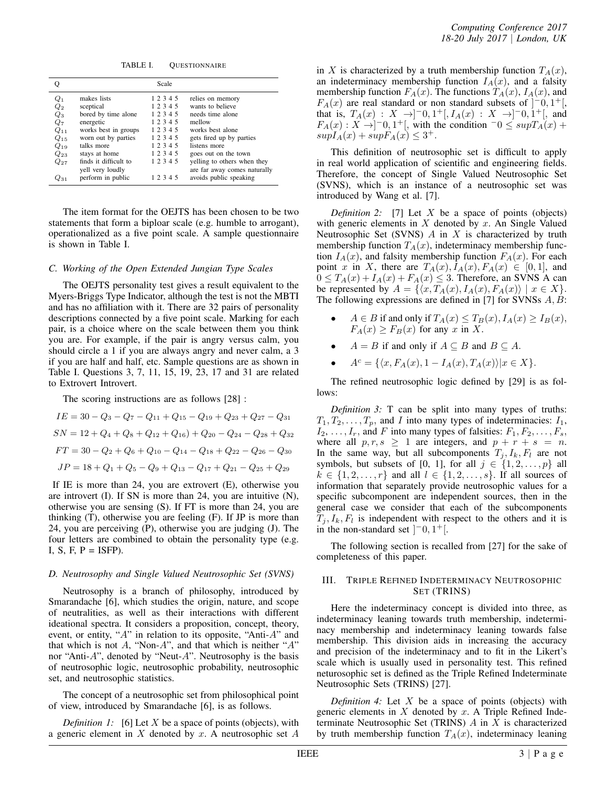TABLE I. QUESTIONNAIRE

| о                  |                       | Scale     |                              |
|--------------------|-----------------------|-----------|------------------------------|
| $Q_1$              | makes lists           | 1 2 3 4 5 | relies on memory             |
| $\scriptstyle Q_2$ | sceptical             | 1 2 3 4 5 | wants to believe             |
| $Q_3$              | bored by time alone   | 12345     | needs time alone             |
| Q7                 | energetic             | 1 2 3 4 5 | mellow                       |
| $Q_{11}$           | works best in groups  | 12345     | works best alone             |
| $Q_{15}$           | worn out by parties   | 1 2 3 4 5 | gets fired up by parties     |
| $Q_{19}$           | talks more            | 1 2 3 4 5 | listens more                 |
| $Q_{23}$           | stays at home         | 1 2 3 4 5 | goes out on the town         |
| $Q_{27}$           | finds it difficult to | 1 2 3 4 5 | yelling to others when they  |
|                    | yell very loudly      |           | are far away comes naturally |
| 231                | perform in public     | 1 2 3 4 5 | avoids public speaking       |

The item format for the OEJTS has been chosen to be two statements that form a biploar scale (e.g. humble to arrogant), operationalized as a five point scale. A sample questionnaire is shown in Table I.

#### *C. Working of the Open Extended Jungian Type Scales*

The OEJTS personality test gives a result equivalent to the Myers-Briggs Type Indicator, although the test is not the MBTI and has no affiliation with it. There are 32 pairs of personality descriptions connected by a five point scale. Marking for each pair, is a choice where on the scale between them you think you are. For example, if the pair is angry versus calm, you should circle a 1 if you are always angry and never calm, a 3 if you are half and half, etc. Sample questions are as shown in Table I. Questions 3, 7, 11, 15, 19, 23, 17 and 31 are related to Extrovert Introvert.

The scoring instructions are as follows [28] :

$$
IE = 30 - Q_3 - Q_7 - Q_{11} + Q_{15} - Q_{19} + Q_{23} + Q_{27} - Q_{31}
$$
  
\n
$$
SN = 12 + Q_4 + Q_8 + Q_{12} + Q_{16}) + Q_{20} - Q_{24} - Q_{28} + Q_{32}
$$
  
\n
$$
FT = 30 - Q_2 + Q_6 + Q_{10} - Q_{14} - Q_{18} + Q_{22} - Q_{26} - Q_{30}
$$
  
\n
$$
JP = 18 + Q_1 + Q_5 - Q_9 + Q_{13} - Q_{17} + Q_{21} - Q_{25} + Q_{29}
$$

If IE is more than 24, you are extrovert (E), otherwise you are introvert (I). If SN is more than 24, you are intuitive (N), otherwise you are sensing (S). If FT is more than 24, you are thinking (T), otherwise you are feeling (F). If JP is more than 24, you are perceiving (P), otherwise you are judging (J). The four letters are combined to obtain the personality type (e.g. I, S, F,  $P = I\$ {SFP}.

# *D. Neutrosophy and Single Valued Neutrosophic Set (SVNS)*

Neutrosophy is a branch of philosophy, introduced by Smarandache [6], which studies the origin, nature, and scope of neutralities, as well as their interactions with different ideational spectra. It considers a proposition, concept, theory, event, or entity, "*A*" in relation to its opposite, "Anti-*A*" and that which is not *A*, "Non-*A*", and that which is neither "*A*" nor "Anti-*A*", denoted by "Neut-*A*". Neutrosophy is the basis of neutrosophic logic, neutrosophic probability, neutrosophic set, and neutrosophic statistics.

The concept of a neutrosophic set from philosophical point of view, introduced by Smarandache [6], is as follows.

*Definition 1:* [6] Let *X* be a space of points (objects), with a generic element in *X* denoted by *x*. A neutrosophic set *A*

in *X* is characterized by a truth membership function  $T_A(x)$ , an indeterminacy membership function  $I_A(x)$ , and a falsity membership function  $F_A(x)$ . The functions  $T_A(x)$ ,  $I_A(x)$ , and  $F_A(x)$  are real standard or non standard subsets of  $]$ <sup>-</sup>0, 1<sup>+</sup>[, that is,  $T_A(x)$  :  $X \rightarrow ]-0,1^+[,I_A(x)$  :  $X \rightarrow ]-0,1^+[,$  and  $F_A(x): X \rightarrow ]-0, 1^+[$ , with the condition  $-0 \leq \sup T_A(x) +$  $supI_A(x) + supF_A(x) \leq 3^+$ .

This definition of neutrosophic set is difficult to apply in real world application of scientific and engineering fields. Therefore, the concept of Single Valued Neutrosophic Set (SVNS), which is an instance of a neutrosophic set was introduced by Wang et al. [7].

*Definition 2:* [7] Let *X* be a space of points (objects) with generic elements in *X* denoted by *x*. An Single Valued Neutrosophic Set (SVNS) *A* in *X* is characterized by truth membership function  $T_A(x)$ , indeterminacy membership function  $I_A(x)$ , and falsity membership function  $F_A(x)$ . For each point *x* in *X*, there are  $T_A(x)$ ,  $I_A(x)$ ,  $F_A(x) \in [0,1]$ , and  $0 \leq T_A(x) + I_A(x) + F_A(x) \leq 3$ . Therefore, an SVNS A can be represented by  $A = \{ \langle x, T_A(x), I_A(x), F_A(x) \rangle \mid x \in X \}.$ The following expressions are defined in [7] for SVNSs *A, B*:

- *A*  $\in$  *B* if and only if  $T_A(x) \le T_B(x)$ ,  $I_A(x) \ge I_B(x)$ ,  $F_A(x) \geq F_B(x)$  for any *x* in *X*.
- $A = B$  if and only if  $A \subseteq B$  and  $B \subseteq A$ .
- $\bullet$  *A<sup>c</sup>* = { $\langle x, F_A(x), 1 I_A(x), T_A(x) \rangle | x \in X$ }.

The refined neutrosophic logic defined by [29] is as follows:

*Definition 3:* T can be split into many types of truths:  $T_1, T_2, \ldots, T_p$ , and *I* into many types of indeterminacies:  $I_1$ ,  $I_2, \ldots, I_r$ , and *F* into many types of falsities:  $F_1, F_2, \ldots, F_s$ , where all  $p, r, s \ge 1$  are integers, and  $p + r + s = n$ . In the same way, but all subcomponents  $T_j$ ,  $I_k$ ,  $F_l$  are not symbols, but subsets of [0, 1], for all  $j \in \{1, 2, \ldots, p\}$  all  $k \in \{1, 2, \ldots, r\}$  and all  $l \in \{1, 2, \ldots, s\}$ . If all sources of information that separately provide neutrosophic values for a specific subcomponent are independent sources, then in the general case we consider that each of the subcomponents  $T_j$ ,  $I_k$ ,  $F_l$  is independent with respect to the others and it is in the non-standard set  $[-0, 1^+]$ .

The following section is recalled from [27] for the sake of completeness of this paper.

# III. TRIPLE REFINED INDETERMINACY NEUTROSOPHIC SET (TRINS)

Here the indeterminacy concept is divided into three, as indeterminacy leaning towards truth membership, indeterminacy membership and indeterminacy leaning towards false membership. This division aids in increasing the accuracy and precision of the indeterminacy and to fit in the Likert's scale which is usually used in personality test. This refined neturosophic set is defined as the Triple Refined Indeterminate Neutrosophic Sets (TRINS) [27].

*Definition 4:* Let *X* be a space of points (objects) with generic elements in *X* denoted by *x*. A Triple Refined Indeterminate Neutrosophic Set (TRINS) *A* in *X* is characterized by truth membership function  $T_A(x)$ , indeterminacy leaning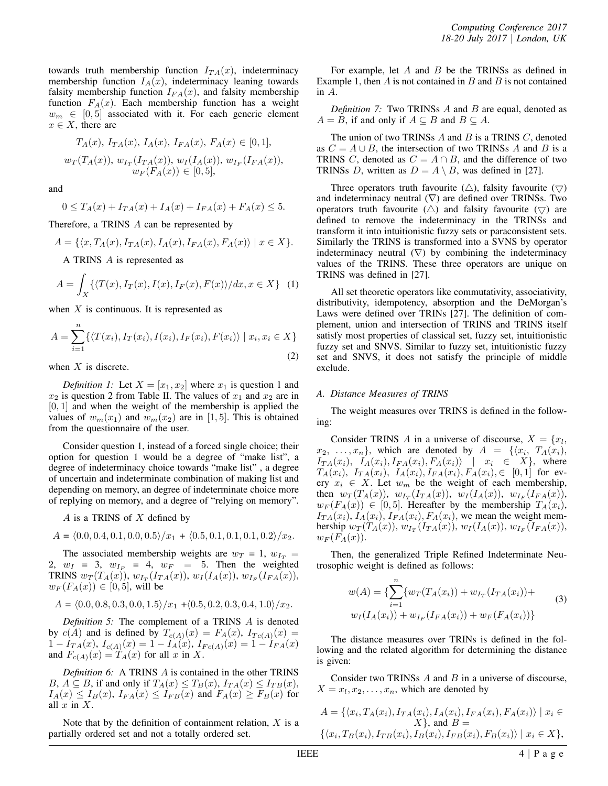towards truth membership function  $I_{TA}(x)$ , indeterminacy membership function  $I_A(x)$ , indeterminacy leaning towards falsity membership function  $I_{FA}(x)$ , and falsity membership function  $F_A(x)$ . Each membership function has a weight  $w_m \in [0, 5]$  associated with it. For each generic element  $x \in X$ , there are

$$
T_A(x), I_{TA}(x), I_A(x), I_{FA}(x), F_A(x) \in [0, 1],
$$
  
\n
$$
w_T(T_A(x)), w_{I_T}(I_{TA}(x)), w_I(I_A(x)), w_{I_F}(I_{FA}(x)),
$$
  
\n
$$
w_F(F_A(x)) \in [0, 5],
$$

and

$$
0 \le T_A(x) + I_{TA}(x) + I_A(x) + I_{FA}(x) + F_A(x) \le 5.
$$

Therefore, a TRINS *A* can be represented by

$$
A = \{ \langle x, T_A(x), I_{TA}(x), I_A(x), I_{FA}(x), F_A(x) \rangle \mid x \in X \}.
$$

A TRINS *A* is represented as

$$
A = \int_X \{ \langle T(x), I_T(x), I(x), I_F(x), F(x) \rangle / dx, x \in X \} \quad (1)
$$

when *X* is continuous. It is represented as

$$
A = \sum_{i=1}^{n} \{ \langle T(x_i), I_T(x_i), I(x_i), I_F(x_i), F(x_i) \rangle \mid x_i, x_i \in X \}
$$
\n(2)

when *X* is discrete.

*Definition 1:* Let  $X = [x_1, x_2]$  where  $x_1$  is question 1 and  $x_2$  is question 2 from Table II. The values of  $x_1$  and  $x_2$  are in [0*,* 1] and when the weight of the membership is applied the values of  $w_m(x_1)$  and  $w_m(x_2)$  are in [1, 5]. This is obtained from the questionnaire of the user.

Consider question 1, instead of a forced single choice; their option for question 1 would be a degree of "make list", a degree of indeterminacy choice towards "make list" , a degree of uncertain and indeterminate combination of making list and depending on memory, an degree of indeterminate choice more of replying on memory, and a degree of "relying on memory".

*A* is a TRINS of *X* defined by

$$
A = \langle 0.0, 0.4, 0.1, 0.0, 0.5 \rangle / x_1 + \langle 0.5, 0.1, 0.1, 0.1, 0.2 \rangle / x_2.
$$

The associated membership weights are  $w_T = 1$ ,  $w_{I_T} =$ 2,  $w_I = 3$ ,  $w_{I_F} = 4$ ,  $w_F = 5$ . Then the weighted  $T$ **RINS**  $w_T(T_A(x))$ ,  $w_{I_T}(I_{TA}(x))$ ,  $w_I(I_A(x))$ ,  $w_{I_F}(I_{FA}(x))$ ,  $w_F(F_A(x)) \in [0,5]$ , will be

$$
A = \langle 0.0, 0.8, 0.3, 0.0, 1.5 \rangle / x_1 + \langle 0.5, 0.2, 0.3, 0.4, 1.0 \rangle / x_2.
$$

*Definition 5:* The complement of a TRINS *A* is denoted by  $c(A)$  and is defined by  $T_{c(A)}(x) = F_A(x), I_{Tc(A)}(x) =$  $1 - I_{TA}(x), I_{c(A)}(x) = 1 - I_A(x), I_{Fc(A)}(x) = 1 - I_{FA}(x)$ and  $F_{c(A)}(x) = T_A(x)$  for all *x* in *X*.

*Definition 6:* A TRINS *A* is contained in the other TRINS *B*,  $A \subseteq B$ , if and only if  $T_A(x) \leq T_B(x)$ ,  $I_{TA}(x) \leq I_{TB}(x)$ ,  $I_A(x) \leq I_B(x)$ ,  $I_{FA}(x) \leq I_{FB}(x)$  and  $F_A(x) \geq F_B(x)$  for all *x* in *X*.

Note that by the definition of containment relation, *X* is a partially ordered set and not a totally ordered set.

For example, let *A* and *B* be the TRINSs as defined in Example 1, then *A* is not contained in *B* and *B* is not contained in *A*.

*Definition 7:* Two TRINSs *A* and *B* are equal, denoted as  $A = B$ , if and only if  $A \subseteq B$  and  $B \subseteq A$ .

The union of two TRINSs *A* and *B* is a TRINS *C*, denoted as  $C = A \cup B$ , the intersection of two TRINSs A and B is a TRINS *C*, denoted as  $C = A \cap B$ , and the difference of two TRINSs *D*, written as  $D = A \setminus B$ , was defined in [27].

Three operators truth favourite  $(\triangle)$ , falsity favourite  $(\nabla)$ and indeterminacy neutral  $(\nabla)$  are defined over TRINSs. Two operators truth favourite  $(\triangle)$  and falsity favourite  $(\nabla)$  are defined to remove the indeterminacy in the TRINSs and transform it into intuitionistic fuzzy sets or paraconsistent sets. Similarly the TRINS is transformed into a SVNS by operator indeterminacy neutral  $(\nabla)$  by combining the indeterminacy values of the TRINS. These three operators are unique on TRINS was defined in [27].

All set theoretic operators like commutativity, associativity, distributivity, idempotency, absorption and the DeMorgan's Laws were defined over TRINs [27]. The definition of complement, union and intersection of TRINS and TRINS itself satisfy most properties of classical set, fuzzy set, intuitionistic fuzzy set and SNVS. Similar to fuzzy set, intuitionistic fuzzy set and SNVS, it does not satisfy the principle of middle exclude.

#### *A. Distance Measures of TRINS*

The weight measures over TRINS is defined in the following:

Consider TRINS *A* in a universe of discourse,  $X = \{x_l,$  $x_2, \ldots, x_n$ , which are denoted by  $A = \{ \langle x_i, T_A(x_i), \rangle \}$  $I_{TA}(x_i)$ ,  $I_A(x_i)$ ,  $I_{FA}(x_i)$ ,  $F_A(x_i)$  |  $x_i \in X$ }, where  $T_A(x_i)$ ,  $I_{TA}(x_i)$ ,  $I_A(x_i)$ ,  $I_{FA}(x_i)$ ,  $F_A(x_i)$ ,  $\in$  [0, 1] for every  $x_i \in X$ . Let  $w_m$  be the weight of each membership, then  $w_T(T_A(x))$ ,  $w_{I_T}(I_{TA}(x))$ ,  $w_I(I_A(x))$ ,  $w_{I_F}(I_{FA}(x))$ ,  $w_F(F_A(x)) \in [0, 5]$ . Hereafter by the membership  $T_A(x_i)$ ,  $I_{TA}(x_i)$ ,  $I_A(x_i)$ ,  $I_{FA}(x_i)$ ,  $F_A(x_i)$ , we mean the weight membership  $w_T(T_A(x))$ ,  $w_{I_T}(I_{TA}(x))$ ,  $w_I(I_A(x))$ ,  $w_{I_F}(I_{FA}(x))$ ,  $w_F(F_A(x)).$ 

Then, the generalized Triple Refined Indeterminate Neutrosophic weight is defined as follows:

$$
w(A) = \{ \sum_{i=1}^{n} \{ w_T(T_A(x_i)) + w_{I_T}(I_{TA}(x_i)) + w_{I}(I_{AA}(x_i)) + w_{I}(I_{AA}(x_i)) + w_{I_F}(I_{FA}(x_i)) + w_{I}(I_{AA}(x_i)) \}
$$
\n
$$
(3)
$$

The distance measures over TRINs is defined in the following and the related algorithm for determining the distance is given:

Consider two TRINSs *A* and *B* in a universe of discourse,  $X = x_l, x_2, \ldots, x_n$ , which are denoted by

$$
A = \{ \langle x_i, T_A(x_i), I_{TA}(x_i), I_A(x_i), I_{FA}(x_i), F_A(x_i) \rangle \mid x_i \in X \}, \text{ and } B = \{ \langle x_i, T_B(x_i), I_{TB}(x_i), I_B(x_i), I_{FB}(x_i), F_B(x_i) \rangle \mid x_i \in X \},
$$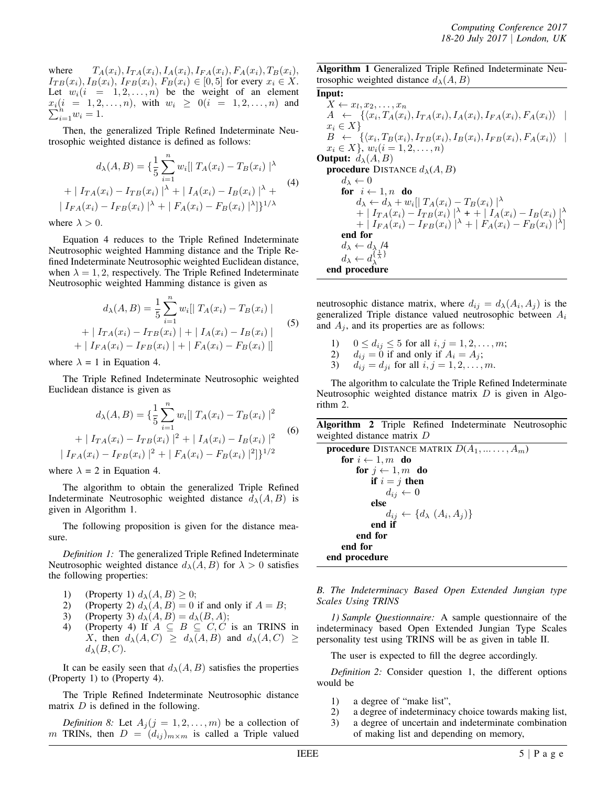where  $T_A(x_i)$ ,  $I_{TA}(x_i)$ ,  $I_A(x_i)$ ,  $I_{FA}(x_i)$ ,  $F_A(x_i)$ ,  $T_B(x_i)$ ,  $I_{TB}(x_i), I_B(x_i), I_{FB}(x_i), F_B(x_i) \in [0, 5]$  for every  $x_i \in X$ . Let  $w_i(i = 1, 2, ..., n)$  be the weight of an element *x* ∑  $\sum_{i=1}^{i} w_i = 1, 2, ..., n$ , with  $w_i \ge 0$  (*i* = 1, 2*, . . . , n*) and  $\sum_{i=1}^{n} w_i = 1$ .

Then, the generalized Triple Refined Indeterminate Neutrosophic weighted distance is defined as follows:

$$
d_{\lambda}(A, B) = \left\{ \frac{1}{5} \sum_{i=1}^{n} w_i \middle| T_A(x_i) - T_B(x_i) \right\}^{\lambda}
$$
  
+ 
$$
\left| T_{TA}(x_i) - T_{TB}(x_i) \right|^{\lambda} + \left| T_A(x_i) - T_B(x_i) \right|^{\lambda} +
$$
  

$$
\left| T_{FA}(x_i) - T_{FB}(x_i) \right|^{\lambda} + \left| F_A(x_i) - F_B(x_i) \right|^{\lambda} \right\}^{1/\lambda}
$$
  
(4)

where  $\lambda > 0$ .

Equation 4 reduces to the Triple Refined Indeterminate Neutrosophic weighted Hamming distance and the Triple Refined Indeterminate Neutrosophic weighted Euclidean distance, when  $\lambda = 1, 2$ , respectively. The Triple Refined Indeterminate Neutrosophic weighted Hamming distance is given as

$$
d_{\lambda}(A, B) = \frac{1}{5} \sum_{i=1}^{n} w_{i} [ | T_{A}(x_{i}) - T_{B}(x_{i}) |
$$
  
+  $| I_{TA}(x_{i}) - I_{TB}(x_{i}) | + | I_{A}(x_{i}) - I_{B}(x_{i}) |$   
+  $| I_{FA}(x_{i}) - I_{FB}(x_{i}) | + | F_{A}(x_{i}) - F_{B}(x_{i}) | ]$  (5)

where  $\lambda = 1$  in Equation 4.

The Triple Refined Indeterminate Neutrosophic weighted Euclidean distance is given as

$$
d_{\lambda}(A, B) = \left\{ \frac{1}{5} \sum_{i=1}^{n} w_i \middle| T_A(x_i) - T_B(x_i) \right\}^2 + | I_{TA}(x_i) - I_{TB}(x_i) |^2 + | I_A(x_i) - I_B(x_i) |^2
$$
\n
$$
| I_{FA}(x_i) - I_{FB}(x_i) |^2 + | F_A(x_i) - F_B(x_i) |^2 \right\}^{1/2}
$$
\n(6)

where  $\lambda = 2$  in Equation 4.

The algorithm to obtain the generalized Triple Refined Indeterminate Neutrosophic weighted distance  $d<sub>\lambda</sub>(A, B)$  is given in Algorithm 1.

The following proposition is given for the distance measure.

*Definition 1:* The generalized Triple Refined Indeterminate Neutrosophic weighted distance  $d_{\lambda}(A, B)$  for  $\lambda > 0$  satisfies the following properties:

- 1) (Property 1)  $d_{\lambda}(A, B) \geq 0$ ;
- 2) (Property 2)  $d_{\lambda}(A, B) = 0$  if and only if  $A = B$ ;<br>3) (Property 3)  $d_{\lambda}(A, B) = d_{\lambda}(B, A)$ ;
- 3) (Property 3)  $d_{\lambda}(A, B) = d_{\lambda}(B, A);$ <br>4) (Property 4) If  $A \subseteq B \subseteq C, C$
- 4) (Property 4) If  $A \subseteq B \subseteq C, C$  is an TRINS in *X*, then  $d_{\lambda}(A, C) \geq d_{\lambda}(A, B)$  and  $d_{\lambda}(A, C) \geq$  $d_{\lambda}(B, C)$ .

It can be easily seen that  $d_{\lambda}(A, B)$  satisfies the properties (Property 1) to (Property 4).

The Triple Refined Indeterminate Neutrosophic distance matrix *D* is defined in the following.

*Definition 8:* Let  $A_j$  ( $j = 1, 2, \ldots, m$ ) be a collection of *m* TRINs, then  $D = (d_{ij})_{m \times m}$  is called a Triple valued Algorithm 1 Generalized Triple Refined Indeterminate Neutrosophic weighted distance  $d_{\lambda}(A, B)$ 

Input:  $X \leftarrow x_l, x_2, \ldots, x_n$  $A \leftarrow \{ \langle x_i, T_A(x_i), I_{TA}(x_i), I_A(x_i), I_{FA}(x_i), F_A(x_i) \rangle \mid$ *x<sup>i</sup> ∈ X}*  $B \leftarrow \{ \langle x_i, T_B(x_i), I_{TB}(x_i), I_B(x_i), I_{FB}(x_i), F_A(x_i) \rangle \mid$  $x_i \in X$ ,  $w_i (i = 1, 2, \ldots, n)$ **Output:**  $d_{\lambda}(A, B)$ **procedure** DISTANCE  $d_{\lambda}(A, B)$  $d_{\lambda} \leftarrow 0$ for  $i \leftarrow 1, n$  do  $d_{\lambda} \leftarrow d_{\lambda} + w_i \left[ |T_A(x_i) - T_B(x_i)|^{\lambda} \right]$  $+ | I_{TA}(x_i) - I_{TB}(x_i) |^{\lambda} + | I_{A}(x_i) - I_{B}(x_i) |^{\lambda}$  $+ | I_{FA}(x_i) - I_{FB}(x_i) |^{\lambda} + | F_A(x_i) - F_B(x_i) |^{\lambda}$ end for  $d_{\lambda} \leftarrow d_{\lambda}$  /4  $d_{\lambda} \leftarrow d_{\lambda}^{\{\frac{1}{\lambda}\}}$ *λ* end procedure

neutrosophic distance matrix, where  $d_{ij} = d_{\lambda}(A_i, A_j)$  is the generalized Triple distance valued neutrosophic between *A<sup>i</sup>* and  $A_j$ , and its properties are as follows:

- 1)  $0 \le d_{ij} \le 5$  for all  $i, j = 1, 2, ..., m$ ;
- 2)  $d_{ij} = 0$  if and only if  $A_i = A_j$ ;
- 3)  $d_{ij} = d_{ji}$  for all  $i, j = 1, 2, ..., m$ .

The algorithm to calculate the Triple Refined Indeterminate Neutrosophic weighted distance matrix *D* is given in Algorithm 2.

Algorithm 2 Triple Refined Indeterminate Neutrosophic weighted distance matrix *D*

procedure DISTANCE MATRIX  $D(A_1, \ldots, A_m)$ for  $i \leftarrow 1, m$  do for  $j \leftarrow 1, m$  do if  $i = j$  then  $d_{ij} \leftarrow 0$ else  $d_{ij} \leftarrow \{d_{\lambda} \left(A_i, A_j\right)\}$ end if end for end for end procedure

*B. The Indeterminacy Based Open Extended Jungian type Scales Using TRINS*

*1) Sample Questionnaire:* A sample questionnaire of the indeterminacy based Open Extended Jungian Type Scales personality test using TRINS will be as given in table II.

The user is expected to fill the degree accordingly.

*Definition 2:* Consider question 1, the different options would be

- 1) a degree of "make list",
- 2) a degree of indeterminacy choice towards making list,
- 3) a degree of uncertain and indeterminate combination of making list and depending on memory,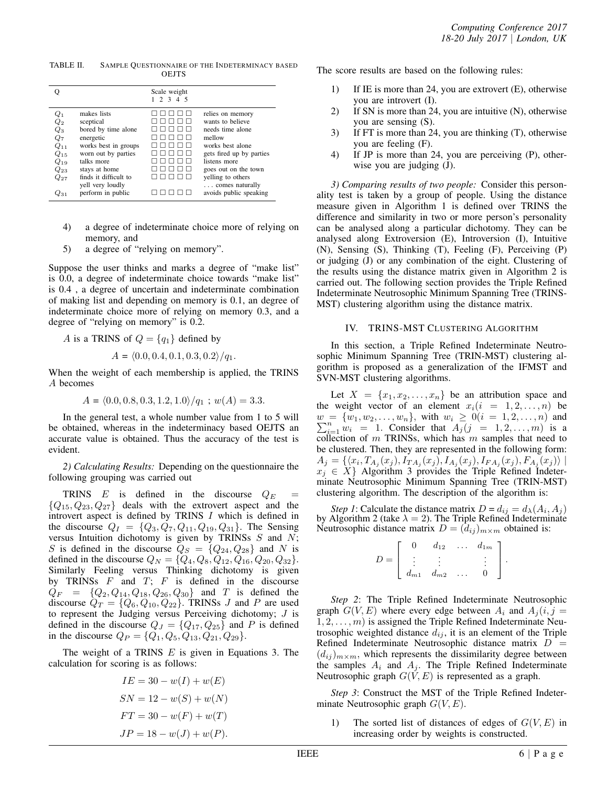| TABLE II. | SAMPLE QUESTIONNAIRE OF THE INDETERMINACY BASED |
|-----------|-------------------------------------------------|
|           | <b>OEJTS</b>                                    |

|                    |                       | Scale weight<br>2 3 4 5 |                          |
|--------------------|-----------------------|-------------------------|--------------------------|
| $\mathcal{Q}_1$    | makes lists           |                         | relies on memory         |
| $\mathcal{Q}_2$    | sceptical             |                         | wants to believe         |
| $\scriptstyle Q_3$ | bored by time alone   |                         | needs time alone         |
| Q7                 | energetic             |                         | mellow                   |
| $Q_{11}$           | works best in groups  |                         | works best alone         |
| $Q_{15}$           | worn out by parties   |                         | gets fired up by parties |
| $Q_{19}$           | talks more            |                         | listens more             |
| $Q_{23}$           | stays at home         |                         | goes out on the town     |
| $Q_{27}$           | finds it difficult to |                         | yelling to others        |
|                    | yell very loudly      |                         | comes naturally          |
| 2.31               | perform in public     |                         | avoids public speaking   |

- 4) a degree of indeterminate choice more of relying on memory, and
- 5) a degree of "relying on memory".

Suppose the user thinks and marks a degree of "make list" is 0.0, a degree of indeterminate choice towards "make list" is 0.4 , a degree of uncertain and indeterminate combination of making list and depending on memory is 0.1, an degree of indeterminate choice more of relying on memory 0.3, and a degree of "relying on memory" is 0.2.

*A* is a TRINS of  $Q = \{q_1\}$  defined by

$$
A = \langle 0.0, 0.4, 0.1, 0.3, 0.2 \rangle / q_1.
$$

When the weight of each membership is applied, the TRINS *A* becomes

$$
A = \langle 0.0, 0.8, 0.3, 1.2, 1.0 \rangle / q_1 ; w(A) = 3.3.
$$

In the general test, a whole number value from 1 to 5 will be obtained, whereas in the indeterminacy based OEJTS an accurate value is obtained. Thus the accuracy of the test is evident.

*2) Calculating Results:* Depending on the questionnaire the following grouping was carried out

TRINS  $E$  is defined in the discourse  $Q_E$  = *{Q*15*, Q*23*, Q*27*}* deals with the extrovert aspect and the introvert aspect is defined by TRINS *I* which is defined in the discourse  $Q_I = \{Q_3, Q_7, Q_{11}, Q_{19}, Q_{31}\}.$  The Sensing versus Intuition dichotomy is given by TRINSs *S* and *N*; *S* is defined in the discourse  $Q_S = \{Q_{24}, Q_{28}\}\$  and *N* is defined in the discourse  $Q_N = \{Q_4, Q_8, Q_{12}, Q_{16}, Q_{20}, Q_{32}\}.$ Similarly Feeling versus Thinking dichotomy is given by TRINSs *F* and *T*; *F* is defined in the discourse  $Q_F = \{Q_2, Q_{14}, Q_{18}, Q_{26}, Q_{30}\}$  and *T* is defined the discourse  $Q_T = \{Q_6, Q_{10}, Q_{22}\}$ . TRINSs *J* and *P* are used to represent the Judging versus Perceiving dichotomy; *J* is defined in the discourse  $Q_J = \{Q_{17}, Q_{25}\}\$  and *P* is defined in the discourse  $Q_P = \{Q_1, Q_5, Q_{13}, Q_{21}, Q_{29}\}.$ 

The weight of a TRINS *E* is given in Equations 3. The calculation for scoring is as follows:

$$
IE = 30 - w(I) + w(E)
$$
  
\n
$$
SN = 12 - w(S) + w(N)
$$
  
\n
$$
FT = 30 - w(F) + w(T)
$$
  
\n
$$
JP = 18 - w(J) + w(P).
$$

The score results are based on the following rules:

- 1) If IE is more than 24, you are extrovert (E), otherwise you are introvert (I).
- 2) If SN is more than 24, you are intuitive (N), otherwise you are sensing (S).
- 3) If FT is more than 24, you are thinking (T), otherwise you are feeling (F).
- 4) If JP is more than 24, you are perceiving (P), otherwise you are judging (J).

*3) Comparing results of two people:* Consider this personality test is taken by a group of people. Using the distance measure given in Algorithm 1 is defined over TRINS the difference and similarity in two or more person's personality can be analysed along a particular dichotomy. They can be analysed along Extroversion (E), Introversion (I), Intuitive (N), Sensing (S), Thinking (T), Feeling (F), Perceiving (P) or judging (J) or any combination of the eight. Clustering of the results using the distance matrix given in Algorithm 2 is carried out. The following section provides the Triple Refined Indeterminate Neutrosophic Minimum Spanning Tree (TRINS-MST) clustering algorithm using the distance matrix.

# IV. TRINS-MST CLUSTERING ALGORITHM

In this section, a Triple Refined Indeterminate Neutrosophic Minimum Spanning Tree (TRIN-MST) clustering algorithm is proposed as a generalization of the IFMST and SVN-MST clustering algorithms.

Let  $X = \{x_1, x_2, \ldots, x_n\}$  be an attribution space and the weight vector of an element  $x_i(i = 1, 2, \ldots, n)$  be  $w = \{w_1, w_2, \dots, w_n\}$ , with  $w_i \ge 0 (i = 1, 2, \dots, n)$  and  $\sum_{i=1}^{n} w_i = 1$ . Consider that  $A_j (j = 1, 2, \dots, m)$  is a collection of *m* TRINSs, which has *m* samples that need to be clustered. Then, they are represented in the following form:  $A_j = \{ \langle x_i, T_{A_j}(x_j), I_{TA_j}(x_j), I_{A_j}(x_j), I_{FA_j}(x_j), F_{A_j}(x_j) \rangle \mid$ *x<sup>j</sup> ∈ X}* Algorithm 3 provides the Triple Refined Indeterminate Neutrosophic Minimum Spanning Tree (TRIN-MST) clustering algorithm. The description of the algorithm is:

*Step 1*: Calculate the distance matrix  $D = d_{ij} = d_{\lambda}(A_i, A_j)$ by Algorithm 2 (take  $\lambda = 2$ ). The Triple Refined Indeterminate Neutrosophic distance matrix  $D = (d_{ij})_{m \times m}$  obtained is:

|          |          | $d_{12}$ | . | $d_{1m}$ |  |
|----------|----------|----------|---|----------|--|
| $\equiv$ |          |          |   |          |  |
|          | $d_{m1}$ | $d_{m2}$ |   |          |  |

*Step 2*: The Triple Refined Indeterminate Neutrosophic graph  $G(V, E)$  where every edge between  $A_i$  and  $A_j(i, j =$ 1*,* 2*, . . . , m*) is assigned the Triple Refined Indeterminate Neutrosophic weighted distance  $d_{ij}$ , it is an element of the Triple Refined Indeterminate Neutrosophic distance matrix  $D =$  $(d_{ij})_{m \times m}$ , which represents the dissimilarity degree between the samples  $A_i$  and  $A_j$ . The Triple Refined Indeterminate Neutrosophic graph *G*(*V, E*) is represented as a graph.

*Step 3*: Construct the MST of the Triple Refined Indeterminate Neutrosophic graph *G*(*V, E*).

1) The sorted list of distances of edges of *G*(*V, E*) in increasing order by weights is constructed.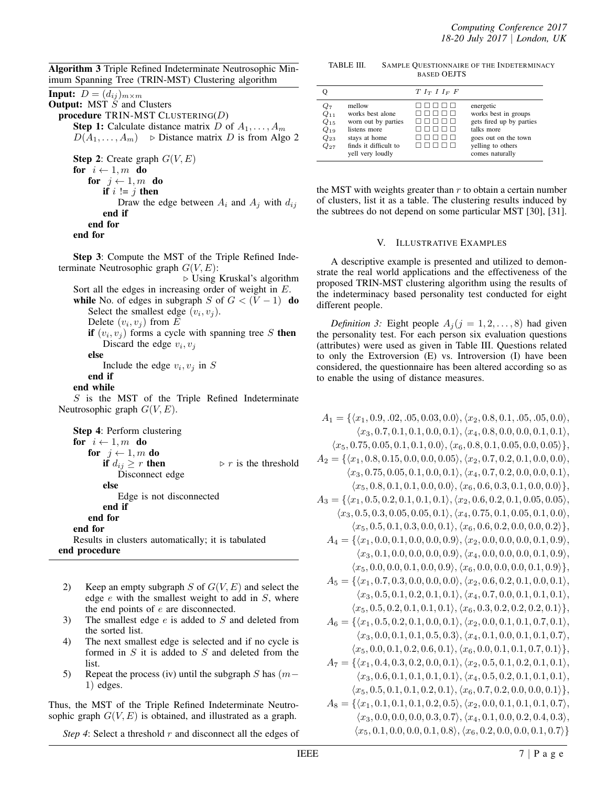Algorithm 3 Triple Refined Indeterminate Neutrosophic Minimum Spanning Tree (TRIN-MST) Clustering algorithm

**Input:**  $D = (d_{ij})_{m \times m}$ Output: MST *S* and Clusters procedure TRIN-MST CLUSTERING(*D*) **Step 1:** Calculate distance matrix *D* of  $A_1, \ldots, A_m$  $D(A_1, \ldots, A_m)$   $\triangleright$  Distance matrix *D* is from Algo 2

Step 2: Create graph *G*(*V, E*) for  $i \leftarrow 1, m$  do for  $j \leftarrow 1, m$  do if  $i := j$  then Draw the edge between  $A_i$  and  $A_j$  with  $d_{ij}$ end if end for end for

Step 3: Compute the MST of the Triple Refined Indeterminate Neutrosophic graph *G*(*V, E*):

*◃* Using Kruskal's algorithm Sort all the edges in increasing order of weight in *E*. while No. of edges in subgraph *S* of  $G < (V - 1)$  do Select the smallest edge  $(v_i, v_j)$ .

Delete  $(v_i, v_j)$  from  $E$ 

if  $(v_i, v_j)$  forms a cycle with spanning tree S then Discard the edge  $v_i, v_j$ 

else

Include the edge  $v_i, v_j$  in *S* 

# end if

end while

*S* is the MST of the Triple Refined Indeterminate Neutrosophic graph *G*(*V, E*).

| <b>Step 4: Perform clustering</b>                  |                                     |
|----------------------------------------------------|-------------------------------------|
| for $i \leftarrow 1, m$ do                         |                                     |
| for $j \leftarrow 1, m$ do                         |                                     |
| if $d_{ij} \geq r$ then                            | $\triangleright$ r is the threshold |
| Disconnect edge                                    |                                     |
| else                                               |                                     |
| Edge is not disconnected                           |                                     |
| end if                                             |                                     |
| end for                                            |                                     |
| end for                                            |                                     |
| Results in clusters automatically; it is tabulated |                                     |
| end procedure                                      |                                     |

- 2) Keep an empty subgraph *S* of *G*(*V, E*) and select the edge *e* with the smallest weight to add in *S*, where the end points of *e* are disconnected.
- 3) The smallest edge *e* is added to *S* and deleted from the sorted list.
- 4) The next smallest edge is selected and if no cycle is formed in *S* it is added to *S* and deleted from the list.
- 5) Repeat the process (iv) until the subgraph *S* has (*m−* 1) edges.

Thus, the MST of the Triple Refined Indeterminate Neutrosophic graph  $G(V, E)$  is obtained, and illustrated as a graph.

*Step 4*: Select a threshold *r* and disconnect all the edges of

TABLE III. SAMPLE QUESTIONNAIRE OF THE INDETERMINACY BASED OEJTS

| Q                                                                 |                                                                                                                                 | $T I_T I I_F F$   |                                                                                                                                             |
|-------------------------------------------------------------------|---------------------------------------------------------------------------------------------------------------------------------|-------------------|---------------------------------------------------------------------------------------------------------------------------------------------|
| $Q_7$<br>$Q_{11}$<br>$Q_{15}$<br>$Q_{19}$<br>$Q_{23}$<br>$Q_{27}$ | mellow<br>works best alone<br>worn out by parties<br>listens more<br>stays at home<br>finds it difficult to<br>yell very loudly | .<br>пшшт<br>1111 | energetic<br>works best in groups<br>gets fired up by parties<br>talks more<br>goes out on the town<br>yelling to others<br>comes naturally |
|                                                                   |                                                                                                                                 |                   |                                                                                                                                             |

the MST with weights greater than *r* to obtain a certain number of clusters, list it as a table. The clustering results induced by the subtrees do not depend on some particular MST [30], [31].

# V. ILLUSTRATIVE EXAMPLES

A descriptive example is presented and utilized to demonstrate the real world applications and the effectiveness of the proposed TRIN-MST clustering algorithm using the results of the indeterminacy based personality test conducted for eight different people.

*Definition 3:* Eight people  $A_j$  ( $j = 1, 2, \ldots, 8$ ) had given the personality test. For each person six evaluation questions (attributes) were used as given in Table III. Questions related to only the Extroversion (E) vs. Introversion (I) have been considered, the questionnaire has been altered according so as to enable the using of distance measures.

| $A_1 = \{ \langle x_1, 0.9, .02, .05, 0.03, 0.0 \rangle, \langle x_2, 0.8, 0.1, .05, .05, 0.0 \rangle,$   |
|-----------------------------------------------------------------------------------------------------------|
| $\langle x_3, 0.7, 0.1, 0.1, 0.0, 0.1 \rangle, \langle x_4, 0.8, 0.0, 0.0, 0.1, 0.1 \rangle,$             |
| $\langle x_5, 0.75, 0.05, 0.1, 0.1, 0.0 \rangle, \langle x_6, 0.8, 0.1, 0.05, 0.0, 0.05 \rangle \},$      |
|                                                                                                           |
| $A_2 = \{ \langle x_1, 0.8, 0.15, 0.0, 0.0, 0.05 \rangle, \langle x_2, 0.7, 0.2, 0.1, 0.0, 0.0 \rangle,$  |
| $\langle x_3, 0.75, 0.05, 0.1, 0.0, 0.1 \rangle, \langle x_4, 0.7, 0.2, 0.0, 0.0, 0.1 \rangle,$           |
| $\langle x_5, 0.8, 0.1, 0.1, 0.0, 0.0 \rangle, \langle x_6, 0.6, 0.3, 0.1, 0.0, 0.0 \rangle \},$          |
| $A_3 = \{ \langle x_1, 0.5, 0.2, 0.1, 0.1, 0.1 \rangle, \langle x_2, 0.6, 0.2, 0.1, 0.05, 0.05 \rangle,$  |
| $\langle x_3, 0.5, 0.3, 0.05, 0.05, 0.1 \rangle, \langle x_4, 0.75, 0.1, 0.05, 0.1, 0.0 \rangle,$         |
| $\langle x_5, 0.5, 0.1, 0.3, 0.0, 0.1 \rangle, \langle x_6, 0.6, 0.2, 0.0, 0.0, 0.2 \rangle \},$          |
| $A_4 = \{ \langle x_1, 0.0, 0.1, 0.0, 0.0, 0.9 \rangle, \langle x_2, 0.0, 0.0, 0.0, 0.1, 0.9 \rangle, \}$ |
| $\langle x_3, 0.1, 0.0, 0.0, 0.0, 0.9 \rangle, \langle x_4, 0.0, 0.0, 0.0, 0.1, 0.9 \rangle,$             |
| $\langle x_5, 0.0, 0.0, 0.1, 0.0, 0.9 \rangle, \langle x_6, 0.0, 0.0, 0.0, 0.1, 0.9 \rangle \},$          |
| $A_5 = \{ \langle x_1, 0.7, 0.3, 0.0, 0.0, 0.0 \rangle, \langle x_2, 0.6, 0.2, 0.1, 0.0, 0.1 \rangle, \}$ |
| $\langle x_3, 0.5, 0.1, 0.2, 0.1, 0.1 \rangle, \langle x_4, 0.7, 0.0, 0.1, 0.1, 0.1 \rangle,$             |
| $\langle x_5, 0.5, 0.2, 0.1, 0.1, 0.1 \rangle, \langle x_6, 0.3, 0.2, 0.2, 0.2, 0.1 \rangle \},$          |
| $A_6 = \{ \langle x_1, 0.5, 0.2, 0.1, 0.0, 0.1 \rangle, \langle x_2, 0.0, 0.1, 0.1, 0.7, 0.1 \rangle,$    |
| $\langle x_3, 0.0, 0.1, 0.1, 0.5, 0.3 \rangle, \langle x_4, 0.1, 0.0, 0.1, 0.1, 0.7 \rangle,$             |
| $\langle x_5, 0.0, 0.1, 0.2, 0.6, 0.1 \rangle, \langle x_6, 0.0, 0.1, 0.1, 0.7, 0.1 \rangle \},$          |
| $A_7 = \{ \langle x_1, 0.4, 0.3, 0.2, 0.0, 0.1 \rangle, \langle x_2, 0.5, 0.1, 0.2, 0.1, 0.1 \rangle, \}$ |
| $\langle x_3, 0.6, 0.1, 0.1, 0.1, 0.1 \rangle, \langle x_4, 0.5, 0.2, 0.1, 0.1, 0.1 \rangle,$             |
| $\langle x_5, 0.5, 0.1, 0.1, 0.2, 0.1 \rangle, \langle x_6, 0.7, 0.2, 0.0, 0.0, 0.1 \rangle \},$          |
| $A_8 = \{ \langle x_1, 0.1, 0.1, 0.1, 0.2, 0.5 \rangle, \langle x_2, 0.0, 0.1, 0.1, 0.1, 0.7 \rangle, \}$ |
| $\langle x_3, 0.0, 0.0, 0.0, 0.3, 0.7 \rangle, \langle x_4, 0.1, 0.0, 0.2, 0.4, 0.3 \rangle,$             |
| $\langle x_5, 0.1, 0.0, 0.0, 0.1, 0.8 \rangle, \langle x_6, 0.2, 0.0, 0.0, 0.1, 0.7 \rangle \}$           |
|                                                                                                           |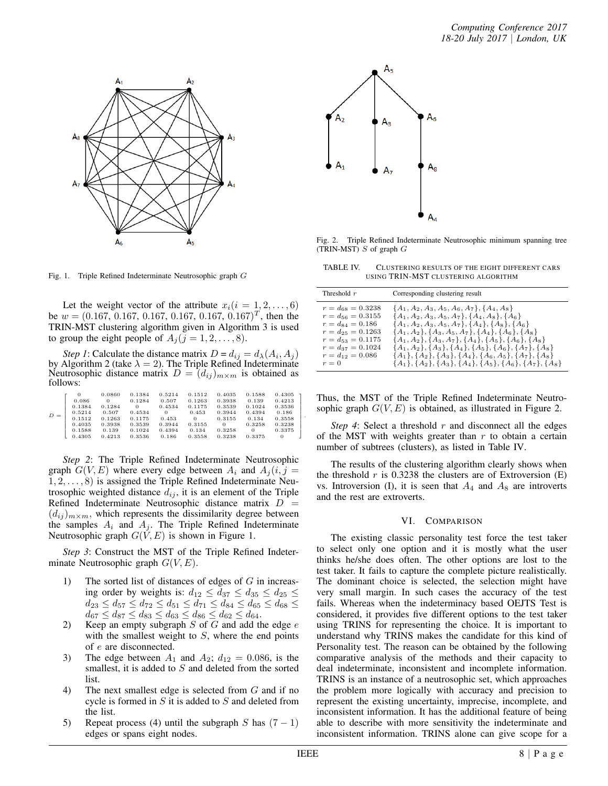

Fig. 1. Triple Refined Indeterminate Neutrosophic graph *G*

Let the weight vector of the attribute  $x_i(i = 1, 2, \dots, 6)$ be  $w = (0.167, 0.167, 0.167, 0.167, 0.167, 0.167)^T$ , then the TRIN-MST clustering algorithm given in Algorithm 3 is used to group the eight people of  $A_j$  ( $j = 1, 2, \ldots, 8$ ).

*Step 1*: Calculate the distance matrix  $D = d_{ij} = d_{\lambda}(A_i, A_j)$ by Algorithm 2 (take  $\lambda = 2$ ). The Triple Refined Indeterminate Neutrosophic distance matrix  $D = (d_{ij})_{m \times m}$  is obtained as follows:

| $D =$ | 0.086<br>0.1384<br>0.5214<br>0.1512<br>0.4035<br>0.1588<br>0.4305 | 0.0860<br>$\Omega$<br>0.1284<br>0.507<br>0.1263<br>0.3938<br>0.139<br>0.4213 | 0.1384<br>0.1284<br>0<br>0.4534<br>0.1175<br>0.3539<br>0.1024<br>0.3536 | 0.5214<br>0.507<br>0.4534<br>$\Omega$<br>0.453<br>0.3944<br>0.4394<br>0.186 | 0.1512<br>0.1263<br>0.1175<br>0.453<br>$\Omega$<br>0.3155<br>0.134<br>0.3558 | 0.4035<br>0.3938<br>0.3539<br>0.3944<br>0.3155<br>0<br>0.3258<br>0.3238 | 0.1588<br>0.139<br>0.1024<br>0.4394<br>0.134<br>0.3258<br>0<br>0.3375 | $0.4305$ 1<br>0.4213<br>0.3536<br>0.186<br>0.3558<br>0.3238<br>0.3375<br>0 |  |
|-------|-------------------------------------------------------------------|------------------------------------------------------------------------------|-------------------------------------------------------------------------|-----------------------------------------------------------------------------|------------------------------------------------------------------------------|-------------------------------------------------------------------------|-----------------------------------------------------------------------|----------------------------------------------------------------------------|--|
|       |                                                                   |                                                                              |                                                                         |                                                                             |                                                                              |                                                                         |                                                                       |                                                                            |  |

*Step 2*: The Triple Refined Indeterminate Neutrosophic graph  $G(V, E)$  where every edge between  $A_i$  and  $A_i(i, j =$ 1*,* 2*, . . . ,* 8) is assigned the Triple Refined Indeterminate Neutrosophic weighted distance  $d_{ij}$ , it is an element of the Triple Refined Indeterminate Neutrosophic distance matrix  $D =$  $(d_{ij})_{m \times m}$ , which represents the dissimilarity degree between the samples  $A_i$  and  $A_j$ . The Triple Refined Indeterminate Neutrosophic graph  $G(V, E)$  is shown in Figure 1.

*Step 3*: Construct the MST of the Triple Refined Indeterminate Neutrosophic graph *G*(*V, E*).

- 1) The sorted list of distances of edges of *G* in increasing order by weights is:  $d_{12} \leq d_{37} \leq d_{35} \leq d_{25} \leq$  $d_{23} \leq d_{57} \leq d_{72} \leq d_{51} \leq d_{71} \leq d_{84} \leq d_{65} \leq d_{68} \leq$  $d_{67} \leq d_{87} \leq d_{83} \leq d_{63} \leq d_{86} \leq d_{62} \leq d_{64}.$
- 2) Keep an empty subgraph *S* of *G* and add the edge *e* with the smallest weight to *S*, where the end points of *e* are disconnected.
- 3) The edge between  $A_1$  and  $A_2$ ;  $d_{12} = 0.086$ , is the smallest, it is added to *S* and deleted from the sorted list.
- 4) The next smallest edge is selected from *G* and if no cycle is formed in *S* it is added to *S* and deleted from the list.
- 5) Repeat process (4) until the subgraph *S* has (7 *−* 1) edges or spans eight nodes.



Fig. 2. Triple Refined Indeterminate Neutrosophic minimum spanning tree (TRIN-MST) *S* of graph *G*

TABLE IV. CLUSTERING RESULTS OF THE EIGHT DIFFERENT CARS USING TRIN-MST CLUSTERING ALGORITHM

Thus, the MST of the Triple Refined Indeterminate Neutrosophic graph  $G(V, E)$  is obtained, as illustrated in Figure 2.

*Step 4*: Select a threshold *r* and disconnect all the edges of the MST with weights greater than *r* to obtain a certain number of subtrees (clusters), as listed in Table IV.

The results of the clustering algorithm clearly shows when the threshold  $r$  is 0.3238 the clusters are of Extroversion  $(E)$ vs. Introversion (I), it is seen that  $A_4$  and  $A_8$  are introverts and the rest are extroverts.

# VI. COMPARISON

The existing classic personality test force the test taker to select only one option and it is mostly what the user thinks he/she does often. The other options are lost to the test taker. It fails to capture the complete picture realistically. The dominant choice is selected, the selection might have very small margin. In such cases the accuracy of the test fails. Whereas when the indeterminacy based OEJTS Test is considered, it provides five different options to the test taker using TRINS for representing the choice. It is important to understand why TRINS makes the candidate for this kind of Personality test. The reason can be obtained by the following comparative analysis of the methods and their capacity to deal indeterminate, inconsistent and incomplete information. TRINS is an instance of a neutrosophic set, which approaches the problem more logically with accuracy and precision to represent the existing uncertainty, imprecise, incomplete, and inconsistent information. It has the additional feature of being able to describe with more sensitivity the indeterminate and inconsistent information. TRINS alone can give scope for a

*.*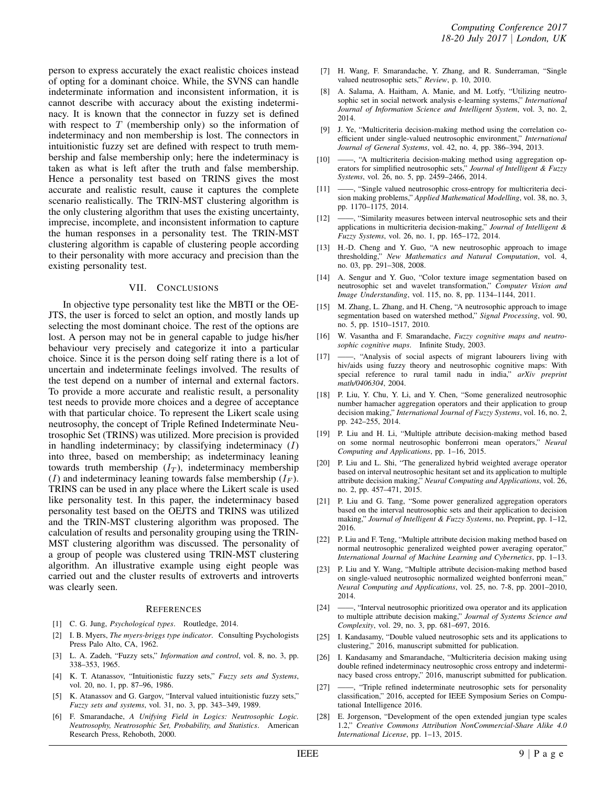person to express accurately the exact realistic choices instead of opting for a dominant choice. While, the SVNS can handle indeterminate information and inconsistent information, it is cannot describe with accuracy about the existing indeterminacy. It is known that the connector in fuzzy set is defined with respect to *T* (membership only) so the information of indeterminacy and non membership is lost. The connectors in intuitionistic fuzzy set are defined with respect to truth membership and false membership only; here the indeterminacy is taken as what is left after the truth and false membership. Hence a personality test based on TRINS gives the most accurate and realistic result, cause it captures the complete scenario realistically. The TRIN-MST clustering algorithm is the only clustering algorithm that uses the existing uncertainty, imprecise, incomplete, and inconsistent information to capture the human responses in a personality test. The TRIN-MST clustering algorithm is capable of clustering people according to their personality with more accuracy and precision than the existing personality test.

#### VII. CONCLUSIONS

In objective type personality test like the MBTI or the OE-JTS, the user is forced to selct an option, and mostly lands up selecting the most dominant choice. The rest of the options are lost. A person may not be in general capable to judge his/her behaviour very precisely and categorize it into a particular choice. Since it is the person doing self rating there is a lot of uncertain and indeterminate feelings involved. The results of the test depend on a number of internal and external factors. To provide a more accurate and realistic result, a personality test needs to provide more choices and a degree of acceptance with that particular choice. To represent the Likert scale using neutrosophy, the concept of Triple Refined Indeterminate Neutrosophic Set (TRINS) was utilized. More precision is provided in handling indeterminacy; by classifying indeterminacy (*I*) into three, based on membership; as indeterminacy leaning towards truth membership (*I<sup>T</sup>* ), indeterminacy membership (*I*) and indeterminacy leaning towards false membership  $(I_F)$ . TRINS can be used in any place where the Likert scale is used like personality test. In this paper, the indeterminacy based personality test based on the OEJTS and TRINS was utilized and the TRIN-MST clustering algorithm was proposed. The calculation of results and personality grouping using the TRIN-MST clustering algorithm was discussed. The personality of a group of people was clustered using TRIN-MST clustering algorithm. An illustrative example using eight people was carried out and the cluster results of extroverts and introverts was clearly seen.

#### **REFERENCES**

- [1] C. G. Jung, *Psychological types*. Routledge, 2014.
- [2] I. B. Myers, *The myers-briggs type indicator*. Consulting Psychologists Press Palo Alto, CA, 1962.
- [3] L. A. Zadeh, "Fuzzy sets," *Information and control*, vol. 8, no. 3, pp. 338–353, 1965.
- [4] K. T. Atanassov, "Intuitionistic fuzzy sets," *Fuzzy sets and Systems*, vol. 20, no. 1, pp. 87–96, 1986.
- [5] K. Atanassov and G. Gargov, "Interval valued intuitionistic fuzzy sets," *Fuzzy sets and systems*, vol. 31, no. 3, pp. 343–349, 1989.
- [6] F. Smarandache, *A Unifying Field in Logics: Neutrosophic Logic. Neutrosophy, Neutrosophic Set, Probability, and Statistics*. American Research Press, Rehoboth, 2000.
- [7] H. Wang, F. Smarandache, Y. Zhang, and R. Sunderraman, "Single valued neutrosophic sets," *Review*, p. 10, 2010.
- [8] A. Salama, A. Haitham, A. Manie, and M. Lotfy, "Utilizing neutrosophic set in social network analysis e-learning systems," *International Journal of Information Science and Intelligent System*, vol. 3, no. 2, 2014.
- [9] J. Ye, "Multicriteria decision-making method using the correlation coefficient under single-valued neutrosophic environment," *International Journal of General Systems*, vol. 42, no. 4, pp. 386–394, 2013.
- [10] A multicriteria decision-making method using aggregation operators for simplified neutrosophic sets," *Journal of Intelligent & Fuzzy Systems*, vol. 26, no. 5, pp. 2459–2466, 2014.
- [11] ——, "Single valued neutrosophic cross-entropy for multicriteria decision making problems," *Applied Mathematical Modelling*, vol. 38, no. 3, pp. 1170–1175, 2014.
- [12] ——, "Similarity measures between interval neutrosophic sets and their applications in multicriteria decision-making," *Journal of Intelligent & Fuzzy Systems*, vol. 26, no. 1, pp. 165–172, 2014.
- [13] H.-D. Cheng and Y. Guo, "A new neutrosophic approach to image thresholding," *New Mathematics and Natural Computation*, vol. 4, no. 03, pp. 291–308, 2008.
- [14] A. Sengur and Y. Guo, "Color texture image segmentation based on neutrosophic set and wavelet transformation," *Computer Vision and Image Understanding*, vol. 115, no. 8, pp. 1134–1144, 2011.
- [15] M. Zhang, L. Zhang, and H. Cheng, "A neutrosophic approach to image segmentation based on watershed method," *Signal Processing*, vol. 90, no. 5, pp. 1510–1517, 2010.
- [16] W. Vasantha and F. Smarandache, *Fuzzy cognitive maps and neutrosophic cognitive maps*. Infinite Study, 2003.
- [17] ——, "Analysis of social aspects of migrant labourers living with hiv/aids using fuzzy theory and neutrosophic cognitive maps: With special reference to rural tamil nadu in india," *arXiv preprint math/0406304*, 2004.
- [18] P. Liu, Y. Chu, Y. Li, and Y. Chen, "Some generalized neutrosophic number hamacher aggregation operators and their application to group decision making," *International Journal of Fuzzy Systems*, vol. 16, no. 2, pp. 242–255, 2014.
- [19] P. Liu and H. Li, "Multiple attribute decision-making method based on some normal neutrosophic bonferroni mean operators," *Neural Computing and Applications*, pp. 1–16, 2015.
- [20] P. Liu and L. Shi, "The generalized hybrid weighted average operator based on interval neutrosophic hesitant set and its application to multiple attribute decision making," *Neural Computing and Applications*, vol. 26, no. 2, pp. 457–471, 2015.
- [21] P. Liu and G. Tang, "Some power generalized aggregation operators based on the interval neutrosophic sets and their application to decision making," *Journal of Intelligent & Fuzzy Systems*, no. Preprint, pp. 1–12, 2016.
- [22] P. Liu and F. Teng, "Multiple attribute decision making method based on normal neutrosophic generalized weighted power averaging operator," *International Journal of Machine Learning and Cybernetics*, pp. 1–13.
- [23] P. Liu and Y. Wang, "Multiple attribute decision-making method based on single-valued neutrosophic normalized weighted bonferroni mean," *Neural Computing and Applications*, vol. 25, no. 7-8, pp. 2001–2010, 2014.
- [24] ——, "Interval neutrosophic prioritized owa operator and its application to multiple attribute decision making," *Journal of Systems Science and Complexity*, vol. 29, no. 3, pp. 681–697, 2016.
- [25] I. Kandasamy, "Double valued neutrosophic sets and its applications to clustering," 2016, manuscript submitted for publication.
- [26] I. Kandasamy and Smarandache, "Multicriteria decision making using double refined indeterminacy neutrosophic cross entropy and indeterminacy based cross entropy," 2016, manuscript submitted for publication.
- [27] -- firiple refined indeterminate neutrosophic sets for personality classification," 2016, accepted for IEEE Symposium Series on Computational Intelligence 2016.
- [28] E. Jorgenson, "Development of the open extended jungian type scales 1.2," *Creative Commons Attribution NonCommercial-Share Alike 4.0 International License*, pp. 1–13, 2015.